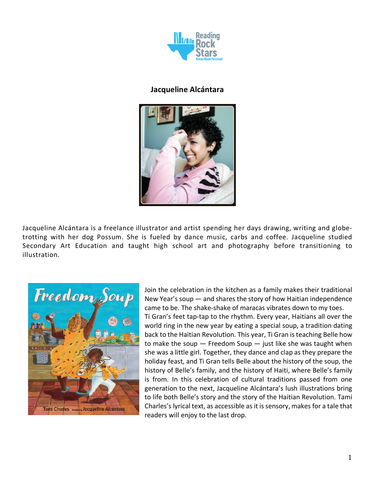

## **Jacqueline Alcántara**



Jacqueline Alcántara is a freelance illustrator and artist spending her days drawing, writing and globetrotting with her dog Possum. She is fueled by dance music, carbs and coffee. Jacqueline studied Secondary Art Education and taught high school art and photography before transitioning to illustration.



Join the celebration in the kitchen as a family makes their traditional New Year's soup — and shares the story of how Haitian independence came to be. The shake-shake of maracas vibrates down to my toes. Ti Gran's feet tap-tap to the rhythm. Every year, Haitians all over the world ring in the new year by eating a special soup, a tradition dating back to the Haitian Revolution. This year, Ti Gran is teaching Belle how to make the soup  $-$  Freedom Soup  $-$  just like she was taught when she was a little girl. Together, they dance and clap as they prepare the holiday feast, and Ti Gran tells Belle about the history of the soup, the history of Belle's family, and the history of Haiti, where Belle's family is from. In this celebration of cultural traditions passed from one generation to the next, Jacqueline Alcántara's lush illustrations bring to life both Belle's story and the story of the Haitian Revolution. Tami Charles's lyrical text, as accessible as it is sensory, makes for a tale that readers will enjoy to the last drop.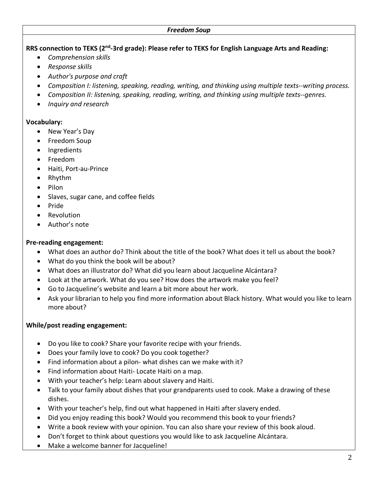### **RRS connection to TEKS (2nd-3rd grade): Please refer to TEKS for English Language Arts and Reading:**

- *Comprehension skills*
- *Response skills*
- *Author's purpose and craft*
- *Composition I: listening, speaking, reading, writing, and thinking using multiple texts--writing process.*
- *Composition II: listening, speaking, reading, writing, and thinking using multiple texts--genres.*
- *Inquiry and research*

#### **Vocabulary:**

- New Year's Day
- Freedom Soup
- Ingredients
- Freedom
- Haiti, Port-au-Prince
- Rhythm
- Pilon
- Slaves, sugar cane, and coffee fields
- Pride
- Revolution
- Author's note

### **Pre-reading engagement:**

- What does an author do? Think about the title of the book? What does it tell us about the book?
- What do you think the book will be about?
- What does an illustrator do? What did you learn about Jacqueline Alcántara?
- Look at the artwork. What do you see? How does the artwork make you feel?
- Go to Jacqueline's website and learn a bit more about her work.
- Ask your librarian to help you find more information about Black history. What would you like to learn more about?

## **While/post reading engagement:**

- Do you like to cook? Share your favorite recipe with your friends.
- Does your family love to cook? Do you cook together?
- Find information about a pilon- what dishes can we make with it?
- Find information about Haiti- Locate Haiti on a map.
- With your teacher's help: Learn about slavery and Haiti.
- Talk to your family about dishes that your grandparents used to cook. Make a drawing of these dishes.
- With your teacher's help, find out what happened in Haiti after slavery ended.
- Did you enjoy reading this book? Would you recommend this book to your friends?
- Write a book review with your opinion. You can also share your review of this book aloud.
- Don't forget to think about questions you would like to ask Jacqueline Alcántara.
- Make a welcome banner for Jacqueline!